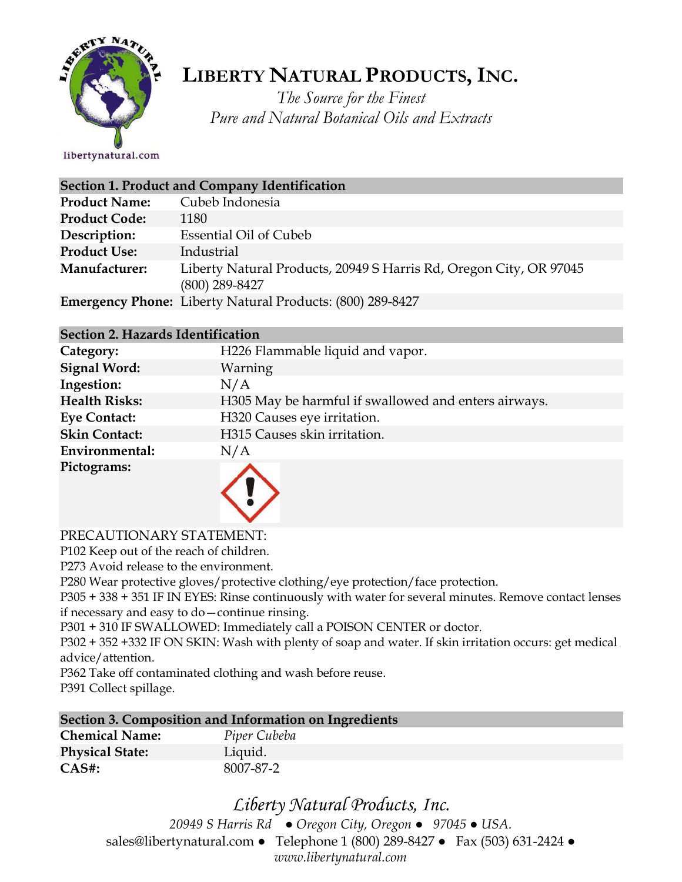

# **LIBERTY NATURAL PRODUCTS,INC.**

*The Source for the Finest Pure and Natural Botanical Oils and Extracts*

| <b>Section 1. Product and Company Identification</b> |                                                                                        |  |
|------------------------------------------------------|----------------------------------------------------------------------------------------|--|
| <b>Product Name:</b>                                 | Cubeb Indonesia                                                                        |  |
| <b>Product Code:</b>                                 | 1180                                                                                   |  |
| Description:                                         | <b>Essential Oil of Cubeb</b>                                                          |  |
| <b>Product Use:</b>                                  | Industrial                                                                             |  |
| <b>Manufacturer:</b>                                 | Liberty Natural Products, 20949 S Harris Rd, Oregon City, OR 97045<br>$(800)$ 289-8427 |  |
|                                                      | <b>Emergency Phone:</b> Liberty Natural Products: (800) 289-8427                       |  |

#### **Section 2. Hazards Identification**

| Category:            | H226 Flammable liquid and vapor.                     |
|----------------------|------------------------------------------------------|
| <b>Signal Word:</b>  | Warning                                              |
| Ingestion:           | N/A                                                  |
| <b>Health Risks:</b> | H305 May be harmful if swallowed and enters airways. |
| <b>Eye Contact:</b>  | H320 Causes eye irritation.                          |
| <b>Skin Contact:</b> | H315 Causes skin irritation.                         |
| Environmental:       | N/A                                                  |
| Pictograms:          |                                                      |

#### PRECAUTIONARY STATEMENT:

P102 Keep out of the reach of children.

P273 Avoid release to the environment.

P280 Wear protective gloves/protective clothing/eye protection/face protection.

P305 + 338 + 351 IF IN EYES: Rinse continuously with water for several minutes. Remove contact lenses if necessary and easy to do—continue rinsing.

P301 + 310 IF SWALLOWED: Immediately call a POISON CENTER or doctor.

P302 + 352 +332 IF ON SKIN: Wash with plenty of soap and water. If skin irritation occurs: get medical advice/attention.

P362 Take off contaminated clothing and wash before reuse.

P391 Collect spillage.

#### **Section 3. Composition and Information on Ingredients**

| <b>Chemical Name:</b>  | Piper Cubeba |
|------------------------|--------------|
| <b>Physical State:</b> | Liquid.      |
| $CAS#$ :               | 8007-87-2    |

## *Liberty Natural Products, Inc.*

*20949 S Harris Rd ● Oregon City, Oregon ● 97045 ● USA.*  sales@libertynatural.com *●* Telephone 1 (800) 289-8427 ● Fax (503) 631-2424 *● www.libertynatural.com*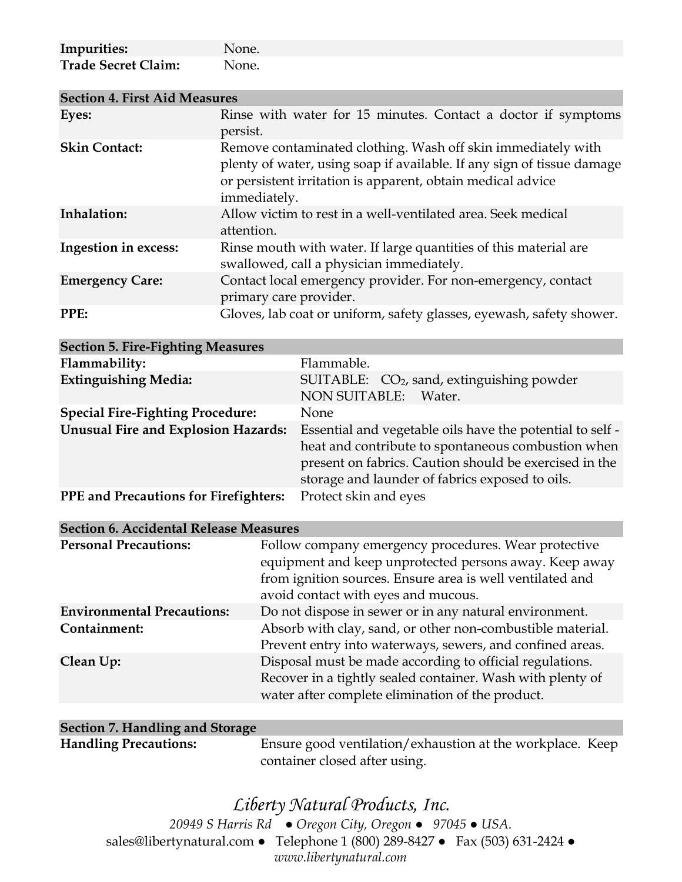| Impurities:                | None. |
|----------------------------|-------|
| <b>Trade Secret Claim:</b> | None. |

| <b>Section 4. First Aid Measures</b> |                                                                                                                                                                                                                       |  |
|--------------------------------------|-----------------------------------------------------------------------------------------------------------------------------------------------------------------------------------------------------------------------|--|
| Eyes:                                | Rinse with water for 15 minutes. Contact a doctor if symptoms<br>persist.                                                                                                                                             |  |
| <b>Skin Contact:</b>                 | Remove contaminated clothing. Wash off skin immediately with<br>plenty of water, using soap if available. If any sign of tissue damage<br>or persistent irritation is apparent, obtain medical advice<br>immediately. |  |
| Inhalation:                          | Allow victim to rest in a well-ventilated area. Seek medical<br>attention.                                                                                                                                            |  |
| Ingestion in excess:                 | Rinse mouth with water. If large quantities of this material are<br>swallowed, call a physician immediately.                                                                                                          |  |
| <b>Emergency Care:</b>               | Contact local emergency provider. For non-emergency, contact<br>primary care provider.                                                                                                                                |  |
| PPE:                                 | Gloves, lab coat or uniform, safety glasses, eyewash, safety shower.                                                                                                                                                  |  |

| <b>Section 5. Fire-Fighting Measures</b>     |                                                                                                                                                                                                                              |
|----------------------------------------------|------------------------------------------------------------------------------------------------------------------------------------------------------------------------------------------------------------------------------|
| Flammability:                                | Flammable.                                                                                                                                                                                                                   |
| <b>Extinguishing Media:</b>                  | SUITABLE: CO <sub>2</sub> , sand, extinguishing powder<br><b>NON SUITABLE:</b><br>Water.                                                                                                                                     |
| <b>Special Fire-Fighting Procedure:</b>      | None                                                                                                                                                                                                                         |
| <b>Unusual Fire and Explosion Hazards:</b>   | Essential and vegetable oils have the potential to self -<br>heat and contribute to spontaneous combustion when<br>present on fabrics. Caution should be exercised in the<br>storage and launder of fabrics exposed to oils. |
| <b>PPE</b> and Precautions for Firefighters: | Protect skin and eyes                                                                                                                                                                                                        |

| <b>Section 6. Accidental Release Measures</b> |                                                                                                                                                                                                                    |  |
|-----------------------------------------------|--------------------------------------------------------------------------------------------------------------------------------------------------------------------------------------------------------------------|--|
| <b>Personal Precautions:</b>                  | Follow company emergency procedures. Wear protective<br>equipment and keep unprotected persons away. Keep away<br>from ignition sources. Ensure area is well ventilated and<br>avoid contact with eyes and mucous. |  |
| <b>Environmental Precautions:</b>             | Do not dispose in sewer or in any natural environment.                                                                                                                                                             |  |
| Containment:                                  | Absorb with clay, sand, or other non-combustible material.<br>Prevent entry into waterways, sewers, and confined areas.                                                                                            |  |
| Clean Up:                                     | Disposal must be made according to official regulations.<br>Recover in a tightly sealed container. Wash with plenty of<br>water after complete elimination of the product.                                         |  |

| Section 7. Handling and Storage |                                                           |  |
|---------------------------------|-----------------------------------------------------------|--|
| <b>Handling Precautions:</b>    | Ensure good ventilation/exhaustion at the workplace. Keep |  |
|                                 | container closed after using.                             |  |

### *Liberty Natural Products, Inc. 20949 S Harris Rd ● Oregon City, Oregon ● 97045 ● USA.*  sales@libertynatural.com *●* Telephone 1 (800) 289-8427 ● Fax (503) 631-2424 *● www.libertynatural.com*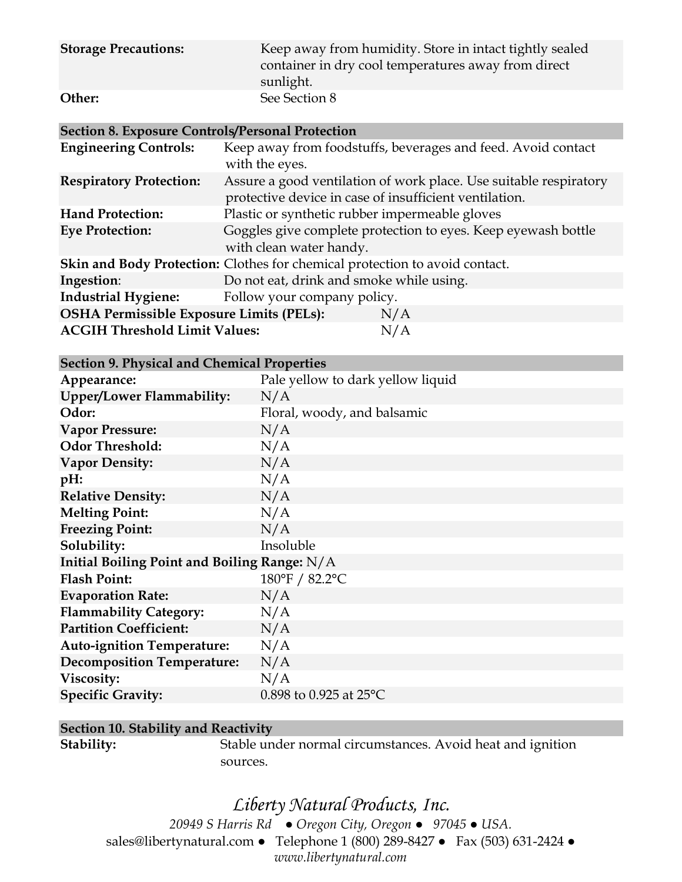| <b>Storage Precautions:</b> | Keep away from humidity. Store in intact tightly sealed<br>container in dry cool temperatures away from direct<br>sunlight. |
|-----------------------------|-----------------------------------------------------------------------------------------------------------------------------|
| Other:                      | See Section 8                                                                                                               |

#### **Section 8. Exposure Controls/Personal Protection**

| <b>Engineering Controls:</b>                           | Keep away from foodstuffs, beverages and feed. Avoid contact<br>with the eyes.                                              |
|--------------------------------------------------------|-----------------------------------------------------------------------------------------------------------------------------|
| <b>Respiratory Protection:</b>                         | Assure a good ventilation of work place. Use suitable respiratory<br>protective device in case of insufficient ventilation. |
| <b>Hand Protection:</b>                                | Plastic or synthetic rubber impermeable gloves                                                                              |
| <b>Eye Protection:</b>                                 | Goggles give complete protection to eyes. Keep eyewash bottle<br>with clean water handy.                                    |
|                                                        | Skin and Body Protection: Clothes for chemical protection to avoid contact.                                                 |
| Ingestion:                                             | Do not eat, drink and smoke while using.                                                                                    |
| <b>Industrial Hygiene:</b>                             | Follow your company policy.                                                                                                 |
| <b>OSHA Permissible Exposure Limits (PELs):</b><br>N/A |                                                                                                                             |
| <b>ACGIH Threshold Limit Values:</b>                   | N/A                                                                                                                         |

| Appearance:                                    | Pale yellow to dark yellow liquid |  |
|------------------------------------------------|-----------------------------------|--|
| <b>Upper/Lower Flammability:</b>               | N/A                               |  |
| Odor:                                          | Floral, woody, and balsamic       |  |
| <b>Vapor Pressure:</b>                         | N/A                               |  |
| <b>Odor Threshold:</b>                         | N/A                               |  |
| <b>Vapor Density:</b>                          | N/A                               |  |
| pH:                                            | N/A                               |  |
| <b>Relative Density:</b>                       | N/A                               |  |
| <b>Melting Point:</b>                          | N/A                               |  |
| <b>Freezing Point:</b>                         | N/A                               |  |
| Solubility:                                    | Insoluble                         |  |
| Initial Boiling Point and Boiling Range: $N/A$ |                                   |  |
| <b>Flash Point:</b>                            | 180°F / 82.2°C                    |  |
| <b>Evaporation Rate:</b>                       | N/A                               |  |
| <b>Flammability Category:</b>                  | N/A                               |  |
| <b>Partition Coefficient:</b>                  | N/A                               |  |
| <b>Auto-ignition Temperature:</b>              | N/A                               |  |
| <b>Decomposition Temperature:</b>              | N/A                               |  |
| Viscosity:                                     | N/A                               |  |
| <b>Specific Gravity:</b>                       | 0.898 to 0.925 at $25^{\circ}$ C  |  |

#### **Section 10. Stability and Reactivity**

Stability: Stable under normal circumstances. Avoid heat and ignition sources.

# *Liberty Natural Products, Inc.*

*20949 S Harris Rd ● Oregon City, Oregon ● 97045 ● USA.*  sales@libertynatural.com *●* Telephone 1 (800) 289-8427 ● Fax (503) 631-2424 *● www.libertynatural.com*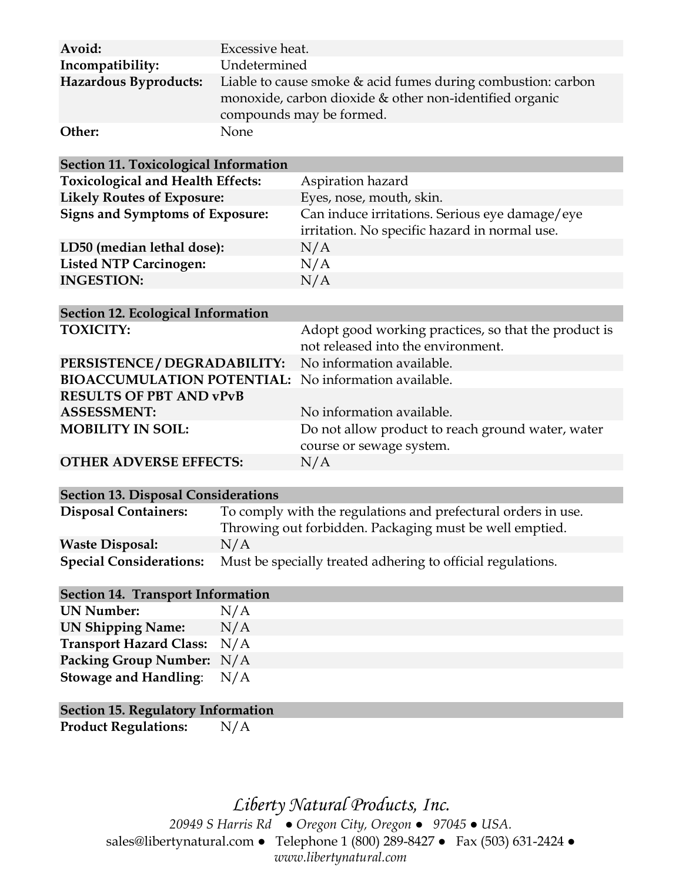| Avoid:<br>Incompatibility: | Excessive heat.<br>Undetermined                                                                                                                       |
|----------------------------|-------------------------------------------------------------------------------------------------------------------------------------------------------|
| Hazardous Byproducts:      | Liable to cause smoke & acid fumes during combustion: carbon<br>monoxide, carbon dioxide $&$ other non-identified organic<br>compounds may be formed. |
| Other:                     | None                                                                                                                                                  |

| Section 11. Toxicological Information     |                                                                                            |
|-------------------------------------------|--------------------------------------------------------------------------------------------|
| <b>Toxicological and Health Effects:</b>  | Aspiration hazard                                                                          |
| <b>Likely Routes of Exposure:</b>         | Eyes, nose, mouth, skin.                                                                   |
| <b>Signs and Symptoms of Exposure:</b>    | Can induce irritations. Serious eye damage/eye                                             |
|                                           | irritation. No specific hazard in normal use.                                              |
| LD50 (median lethal dose):                | N/A                                                                                        |
| <b>Listed NTP Carcinogen:</b>             | N/A                                                                                        |
| <b>INGESTION:</b>                         | N/A                                                                                        |
|                                           |                                                                                            |
| <b>Section 12. Ecological Information</b> |                                                                                            |
| <b>TOXICITY:</b>                          | Adopt good working practices, so that the product is<br>not released into the environment. |

|                                                             | Tive released they the choirdinglity              |
|-------------------------------------------------------------|---------------------------------------------------|
| PERSISTENCE / DEGRADABILITY: No information available.      |                                                   |
| <b>BIOACCUMULATION POTENTIAL:</b> No information available. |                                                   |
| <b>RESULTS OF PBT AND vPvB</b>                              |                                                   |
| <b>ASSESSMENT:</b>                                          | No information available.                         |
| <b>MOBILITY IN SOIL:</b>                                    | Do not allow product to reach ground water, water |
|                                                             | course or sewage system.                          |
| <b>OTHER ADVERSE EFFECTS:</b>                               | N/A                                               |

#### **Section 13. Disposal Considerations**

| <b>Disposal Containers:</b>    | To comply with the regulations and prefectural orders in use. |
|--------------------------------|---------------------------------------------------------------|
|                                | Throwing out forbidden. Packaging must be well emptied.       |
| <b>Waste Disposal:</b>         | N/A                                                           |
| <b>Special Considerations:</b> | Must be specially treated adhering to official regulations.   |

### **Section 14. Transport Information**

**UN Number:** N/A **UN Shipping Name:** N/A **Transport Hazard Class:** N/A **Packing Group Number:** N/A **Stowage and Handling**: N/A

#### **Section 15. Regulatory Information**

**Product Regulations:** N/A

*Liberty Natural Products, Inc. 20949 S Harris Rd ● Oregon City, Oregon ● 97045 ● USA.*  sales@libertynatural.com *●* Telephone 1 (800) 289-8427 ● Fax (503) 631-2424 *● www.libertynatural.com*